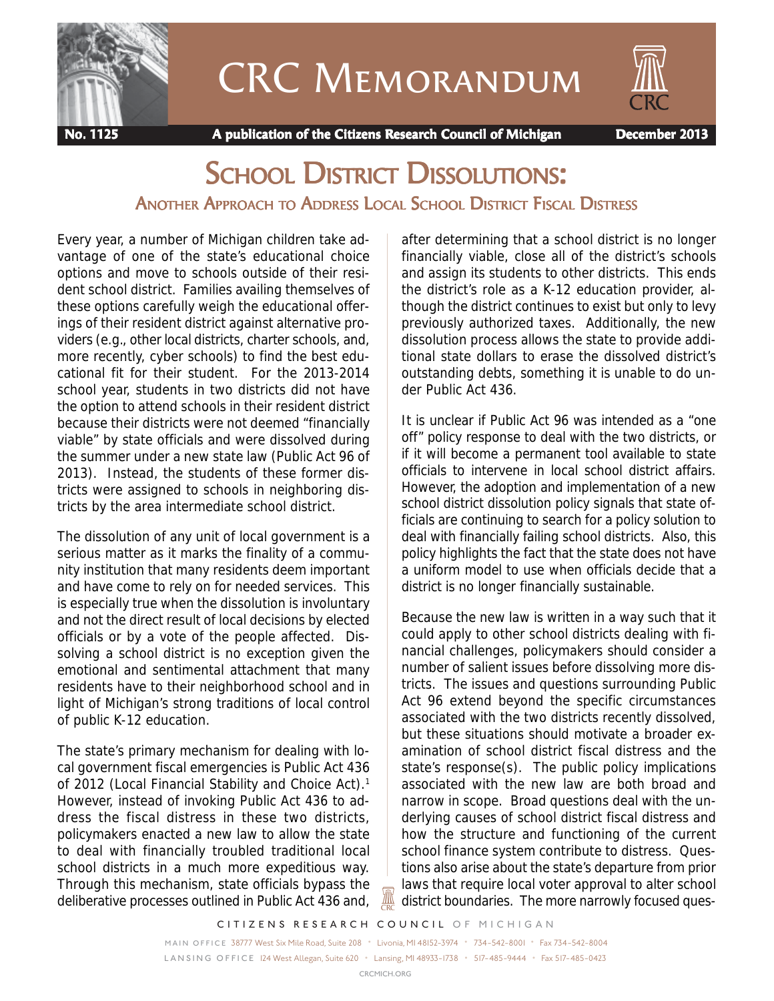

# CRC Memorandum



 **No. 1125 A publication of the Citizens Research Council of Michigan December 2013**

# **SCHOOL DISTRICT DISSOLUTIONS:** ANOTHER APPROACH TO ADDRESS LOCAL SCHOOL DISTRICT FISCAL DISTRESS

Every year, a number of Michigan children take advantage of one of the state's educational choice options and move to schools outside of their resident school district. Families availing themselves of these options carefully weigh the educational offerings of their resident district against alternative providers (e.g., other local districts, charter schools, and, more recently, cyber schools) to find the best educational fit for their student. For the 2013-2014 school year, students in two districts did not have the option to attend schools in their resident district because their districts were not deemed "financially viable" by state officials and were dissolved during the summer under a new state law (Public Act 96 of 2013). Instead, the students of these former districts were assigned to schools in neighboring districts by the area intermediate school district.

The dissolution of any unit of local government is a serious matter as it marks the finality of a community institution that many residents deem important and have come to rely on for needed services. This is especially true when the dissolution is involuntary and not the direct result of local decisions by elected officials or by a vote of the people affected. Dissolving a school district is no exception given the emotional and sentimental attachment that many residents have to their neighborhood school and in light of Michigan's strong traditions of local control of public K-12 education.

The state's primary mechanism for dealing with local government fiscal emergencies is Public Act 436 of 2012 (Local Financial Stability and Choice Act).<sup>1</sup> However, instead of invoking Public Act 436 to address the fiscal distress in these two districts, policymakers enacted a new law to allow the state to deal with financially troubled traditional local school districts in a much more expeditious way. Through this mechanism, state officials bypass the deliberative processes outlined in Public Act 436 and,

after determining that a school district is no longer financially viable, close all of the district's schools and assign its students to other districts. This ends the district's role as a K-12 education provider, although the district continues to exist but only to levy previously authorized taxes. Additionally, the new dissolution process allows the state to provide additional state dollars to erase the dissolved district's outstanding debts, something it is unable to do under Public Act 436.

It is unclear if Public Act 96 was intended as a "one off" policy response to deal with the two districts, or if it will become a permanent tool available to state officials to intervene in local school district affairs. However, the adoption and implementation of a new school district dissolution policy signals that state officials are continuing to search for a policy solution to deal with financially failing school districts. Also, this policy highlights the fact that the state does not have a uniform model to use when officials decide that a district is no longer financially sustainable.

Because the new law is written in a way such that it could apply to other school districts dealing with financial challenges, policymakers should consider a number of salient issues before dissolving more districts. The issues and questions surrounding Public Act 96 extend beyond the specific circumstances associated with the two districts recently dissolved, but these situations should motivate a broader examination of school district fiscal distress and the state's response(s). The public policy implications associated with the new law are both broad and narrow in scope. Broad questions deal with the underlying causes of school district fiscal distress and how the structure and functioning of the current school finance system contribute to distress. Questions also arise about the state's departure from prior laws that require local voter approval to alter school district boundaries. The more narrowly focused ques-

*CITIZENS RESEARCH COUNCIL OF MICHIGAN*

*MAIN OFFICE* 38777 West Six Mile Road, Suite 208 • Livonia, MI 48152-3974 • 734-542-8001 • Fax 734-542-8004 *L A N S I N G O F F I C E* 124 West Allegan, Suite 620 • Lansing, MI 48933-1738 • 517-485-9444 • Fax 517-485-0423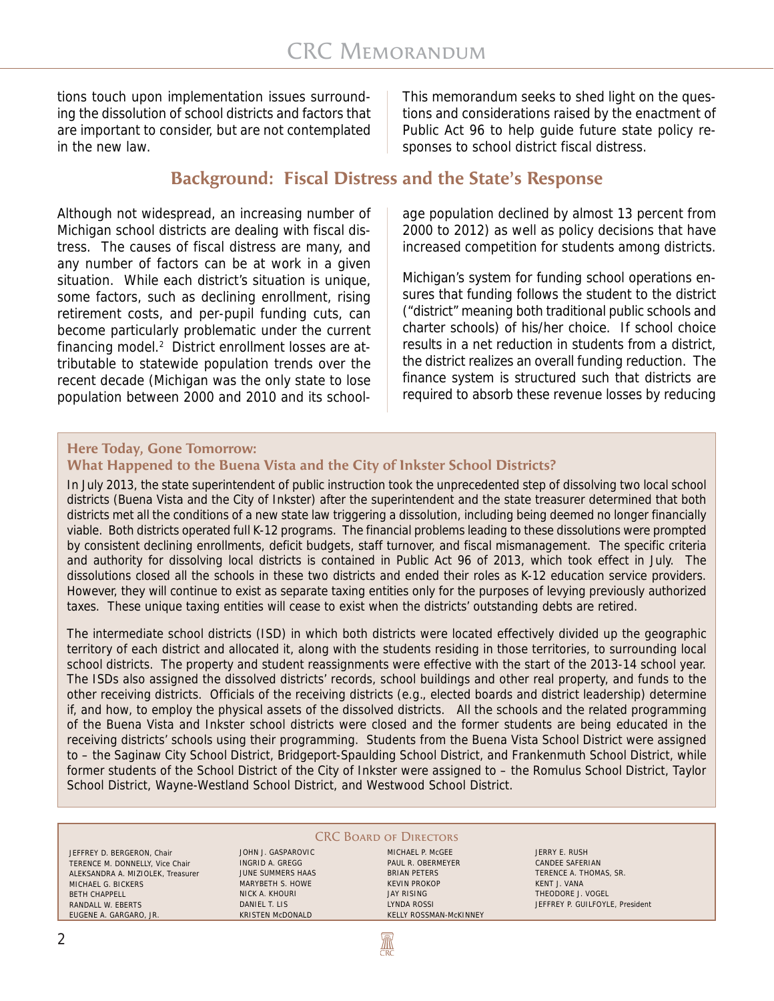tions touch upon implementation issues surrounding the dissolution of school districts and factors that are important to consider, but are not contemplated in the new law.

## **Background: Fiscal Distress and the State's Response**

Although not widespread, an increasing number of Michigan school districts are dealing with fiscal distress. The causes of fiscal distress are many, and any number of factors can be at work in a given situation. While each district's situation is unique, some factors, such as declining enrollment, rising retirement costs, and per-pupil funding cuts, can become particularly problematic under the current financing model.<sup>2</sup> District enrollment losses are attributable to statewide population trends over the recent decade (Michigan was the only state to lose population between 2000 and 2010 and its schoolThis memorandum seeks to shed light on the questions and considerations raised by the enactment of Public Act 96 to help guide future state policy responses to school district fiscal distress.

age population declined by almost 13 percent from 2000 to 2012) as well as policy decisions that have increased competition for students among districts.

Michigan's system for funding school operations ensures that funding follows the student to the district ("district" meaning both traditional public schools and charter schools) of his/her choice. If school choice results in a net reduction in students from a district, the district realizes an overall funding reduction. The finance system is structured such that districts are required to absorb these revenue losses by reducing

#### **Here Today, Gone Tomorrow:**

**What Happened to the Buena Vista and the City of Inkster School Districts?**

In July 2013, the state superintendent of public instruction took the unprecedented step of dissolving two local school districts (Buena Vista and the City of Inkster) after the superintendent and the state treasurer determined that both districts met all the conditions of a new state law triggering a dissolution, including being deemed no longer financially viable. Both districts operated full K-12 programs. The financial problems leading to these dissolutions were prompted by consistent declining enrollments, deficit budgets, staff turnover, and fiscal mismanagement. The specific criteria and authority for dissolving local districts is contained in Public Act 96 of 2013, which took effect in July. The dissolutions closed all the schools in these two districts and ended their roles as K-12 education service providers. However, they will continue to exist as separate taxing entities only for the purposes of levying previously authorized taxes. These unique taxing entities will cease to exist when the districts' outstanding debts are retired.

The intermediate school districts (ISD) in which both districts were located effectively divided up the geographic territory of each district and allocated it, along with the students residing in those territories, to surrounding local school districts. The property and student reassignments were effective with the start of the 2013-14 school year. The ISDs also assigned the dissolved districts' records, school buildings and other real property, and funds to the other receiving districts. Officials of the receiving districts (e.g., elected boards and district leadership) determine if, and how, to employ the physical assets of the dissolved districts. All the schools and the related programming of the Buena Vista and Inkster school districts were closed and the former students are being educated in the receiving districts' schools using their programming. Students from the Buena Vista School District were assigned to – the Saginaw City School District, Bridgeport-Spaulding School District, and Frankenmuth School District, while former students of the School District of the City of Inkster were assigned to – the Romulus School District, Taylor School District, Wayne-Westland School District, and Westwood School District.

#### CRC BOARD OF DIRECTORS

₩

JEFFREY D. BERGERON, Chair TERENCE M. DONNELLY, Vice Chair ALEKSANDRA A. MIZIOLEK, Treasurer MICHAEL G. BICKERS BETH CHAPPELL RANDALL W. EBERTS EUGENE A. GARGARO, JR.

JOHN J. GASPAROVIC INGRID A. GREGG JUNE SUMMERS HAAS MARYBETH S. HOWE NICK A. KHOURI DANIEL T. LIS KRISTEN McDONALD

MICHAEL P. McGEE PAUL R. OBERMEYER BRIAN PETERS KEVIN PROKOP JAY RISING LYNDA ROSSI KELLY ROSSMAN-McKINNEY JERRY E. RUSH CANDEE SAFERIAN TERENCE A. THOMAS, SR. KENT J. VANA THEODORE J. VOGEL JEFFREY P. GUILFOYLE, President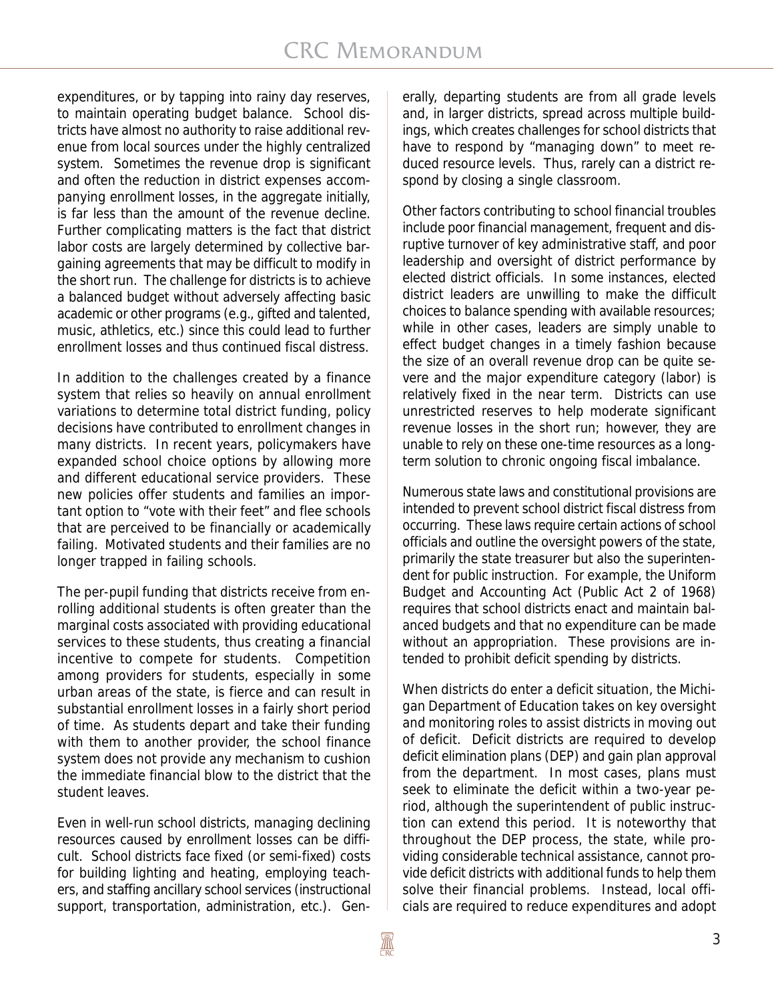expenditures, or by tapping into rainy day reserves, to maintain operating budget balance. School districts have almost no authority to raise additional revenue from local sources under the highly centralized system. Sometimes the revenue drop is significant and often the reduction in district expenses accompanying enrollment losses, in the aggregate initially, is far less than the amount of the revenue decline. Further complicating matters is the fact that district labor costs are largely determined by collective bargaining agreements that may be difficult to modify in the short run. The challenge for districts is to achieve a balanced budget without adversely affecting basic academic or other programs (e.g., gifted and talented, music, athletics, etc.) since this could lead to further enrollment losses and thus continued fiscal distress.

In addition to the challenges created by a finance system that relies so heavily on annual enrollment variations to determine total district funding, policy decisions have contributed to enrollment changes in many districts. In recent years, policymakers have expanded school choice options by allowing more and different educational service providers. These new policies offer students and families an important option to "vote with their feet" and flee schools that are perceived to be financially or academically failing. Motivated students and their families are no longer trapped in failing schools.

The per-pupil funding that districts receive from enrolling additional students is often greater than the marginal costs associated with providing educational services to these students, thus creating a financial incentive to compete for students. Competition among providers for students, especially in some urban areas of the state, is fierce and can result in substantial enrollment losses in a fairly short period of time. As students depart and take their funding with them to another provider, the school finance system does not provide any mechanism to cushion the immediate financial blow to the district that the student leaves.

Even in well-run school districts, managing declining resources caused by enrollment losses can be difficult. School districts face fixed (or semi-fixed) costs for building lighting and heating, employing teachers, and staffing ancillary school services (instructional support, transportation, administration, etc.). Generally, departing students are from all grade levels and, in larger districts, spread across multiple buildings, which creates challenges for school districts that have to respond by "managing down" to meet reduced resource levels. Thus, rarely can a district respond by closing a single classroom.

Other factors contributing to school financial troubles include poor financial management, frequent and disruptive turnover of key administrative staff, and poor leadership and oversight of district performance by elected district officials. In some instances, elected district leaders are unwilling to make the difficult choices to balance spending with available resources; while in other cases, leaders are simply unable to effect budget changes in a timely fashion because the size of an overall revenue drop can be quite severe and the major expenditure category (labor) is relatively fixed in the near term. Districts can use unrestricted reserves to help moderate significant revenue losses in the short run; however, they are unable to rely on these one-time resources as a longterm solution to chronic ongoing fiscal imbalance.

Numerous state laws and constitutional provisions are intended to prevent school district fiscal distress from occurring. These laws require certain actions of school officials and outline the oversight powers of the state, primarily the state treasurer but also the superintendent for public instruction. For example, the Uniform Budget and Accounting Act (Public Act 2 of 1968) requires that school districts enact and maintain balanced budgets and that no expenditure can be made without an appropriation. These provisions are intended to prohibit deficit spending by districts.

When districts do enter a deficit situation, the Michigan Department of Education takes on key oversight and monitoring roles to assist districts in moving out of deficit. Deficit districts are required to develop deficit elimination plans (DEP) and gain plan approval from the department. In most cases, plans must seek to eliminate the deficit within a two-year period, although the superintendent of public instruction can extend this period. It is noteworthy that throughout the DEP process, the state, while providing considerable technical assistance, cannot provide deficit districts with additional funds to help them solve their financial problems. Instead, local officials are required to reduce expenditures and adopt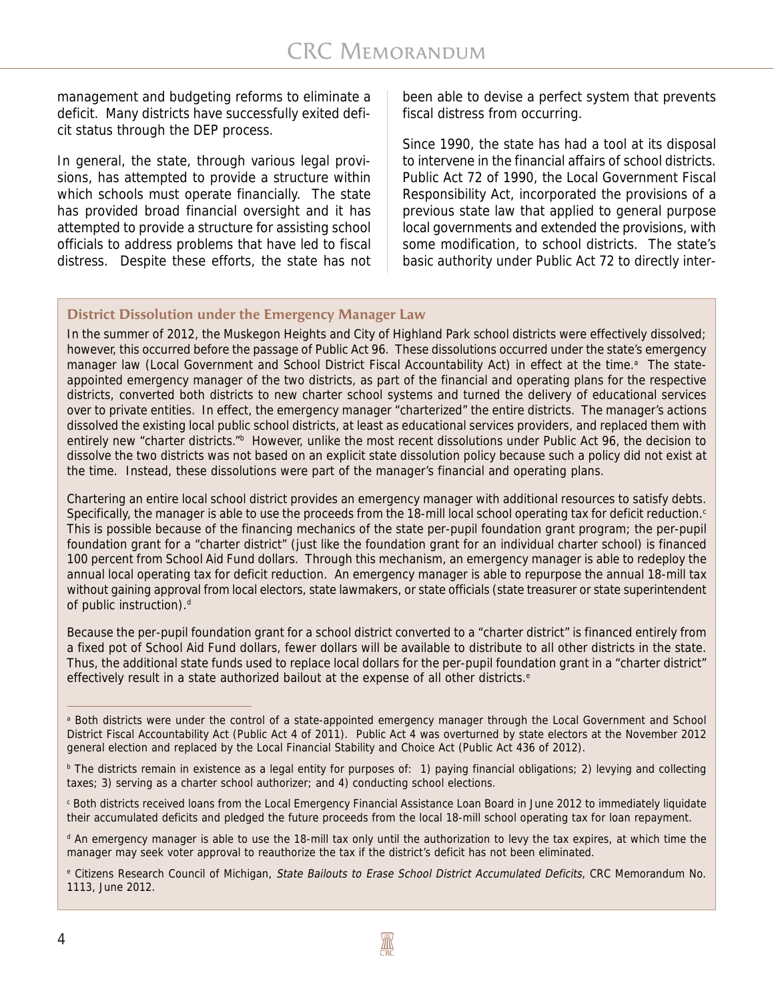management and budgeting reforms to eliminate a deficit. Many districts have successfully exited deficit status through the DEP process.

In general, the state, through various legal provisions, has attempted to provide a structure within which schools must operate financially. The state has provided broad financial oversight and it has attempted to provide a structure for assisting school officials to address problems that have led to fiscal distress. Despite these efforts, the state has not

been able to devise a perfect system that prevents fiscal distress from occurring.

Since 1990, the state has had a tool at its disposal to intervene in the financial affairs of school districts. Public Act 72 of 1990, the Local Government Fiscal Responsibility Act, incorporated the provisions of a previous state law that applied to general purpose local governments and extended the provisions, with some modification, to school districts. The state's basic authority under Public Act 72 to directly inter-

#### **District Dissolution under the Emergency Manager Law**

In the summer of 2012, the Muskegon Heights and City of Highland Park school districts were effectively dissolved; however, this occurred before the passage of Public Act 96. These dissolutions occurred under the state's emergency manager law (Local Government and School District Fiscal Accountability Act) in effect at the time.<sup>a</sup> The stateappointed emergency manager of the two districts, as part of the financial and operating plans for the respective districts, converted both districts to new charter school systems and turned the delivery of educational services over to private entities. In effect, the emergency manager "charterized" the entire districts. The manager's actions dissolved the existing local public school districts, at least as educational services providers, and replaced them with entirely new "charter districts."<sup>b</sup> However, unlike the most recent dissolutions under Public Act 96, the decision to dissolve the two districts was not based on an explicit state dissolution policy because such a policy did not exist at the time. Instead, these dissolutions were part of the manager's financial and operating plans.

Chartering an entire local school district provides an emergency manager with additional resources to satisfy debts. Specifically, the manager is able to use the proceeds from the 18-mill local school operating tax for deficit reduction.<sup>c</sup> This is possible because of the financing mechanics of the state per-pupil foundation grant program; the per-pupil foundation grant for a "charter district" (just like the foundation grant for an individual charter school) is financed 100 percent from School Aid Fund dollars. Through this mechanism, an emergency manager is able to redeploy the annual local operating tax for deficit reduction. An emergency manager is able to repurpose the annual 18-mill tax without gaining approval from local electors, state lawmakers, or state officials (state treasurer or state superintendent of public instruction).<sup>d</sup>

Because the per-pupil foundation grant for a school district converted to a "charter district" is financed entirely from a fixed pot of School Aid Fund dollars, fewer dollars will be available to distribute to all other districts in the state. Thus, the additional state funds used to replace local dollars for the per-pupil foundation grant in a "charter district" effectively result in a state authorized bailout at the expense of all other districts. $e$ 

a Both districts were under the control of a state-appointed emergency manager through the Local Government and School District Fiscal Accountability Act (Public Act 4 of 2011). Public Act 4 was overturned by state electors at the November 2012 general election and replaced by the Local Financial Stability and Choice Act (Public Act 436 of 2012).

<sup>&</sup>lt;sup>b</sup> The districts remain in existence as a legal entity for purposes of: 1) paying financial obligations; 2) levying and collecting taxes; 3) serving as a charter school authorizer; and 4) conducting school elections.

c Both districts received loans from the Local Emergency Financial Assistance Loan Board in June 2012 to immediately liquidate their accumulated deficits and pledged the future proceeds from the local 18-mill school operating tax for loan repayment.

<sup>&</sup>lt;sup>d</sup> An emergency manager is able to use the 18-mill tax only until the authorization to levy the tax expires, at which time the manager may seek voter approval to reauthorize the tax if the district's deficit has not been eliminated.

<sup>&</sup>lt;sup>e</sup> Citizens Research Council of Michigan, State Bailouts to Erase School District Accumulated Deficits, CRC Memorandum No. 1113, June 2012.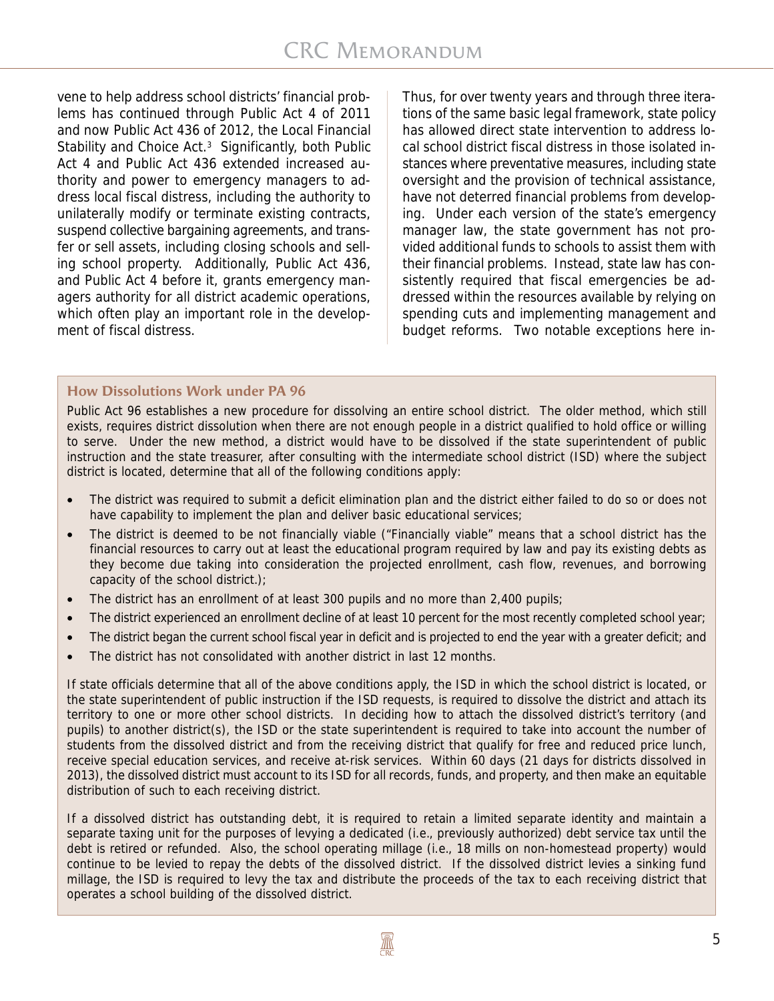vene to help address school districts' financial problems has continued through Public Act 4 of 2011 and now Public Act 436 of 2012, the Local Financial Stability and Choice Act.<sup>3</sup> Significantly, both Public Act 4 and Public Act 436 extended increased authority and power to emergency managers to address local fiscal distress, including the authority to unilaterally modify or terminate existing contracts, suspend collective bargaining agreements, and transfer or sell assets, including closing schools and selling school property. Additionally, Public Act 436, and Public Act 4 before it, grants emergency managers authority for all district academic operations, which often play an important role in the development of fiscal distress.

Thus, for over twenty years and through three iterations of the same basic legal framework, state policy has allowed direct state intervention to address local school district fiscal distress in those isolated instances where preventative measures, including state oversight and the provision of technical assistance, have not deterred financial problems from developing. Under each version of the state's emergency manager law, the state government has not provided additional funds to schools to assist them with their financial problems. Instead, state law has consistently required that fiscal emergencies be addressed within the resources available by relying on spending cuts and implementing management and budget reforms. Two notable exceptions here in-

#### **How Dissolutions Work under PA 96**

Public Act 96 establishes a new procedure for dissolving an entire school district. The older method, which still exists, requires district dissolution when there are not enough people in a district qualified to hold office or willing to serve. Under the new method, a district would have to be dissolved if the state superintendent of public instruction and the state treasurer, after consulting with the intermediate school district (ISD) where the subject district is located, determine that all of the following conditions apply:

- The district was required to submit a deficit elimination plan and the district either failed to do so or does not have capability to implement the plan and deliver basic educational services;
- The district is deemed to be not financially viable ("Financially viable" means that a school district has the financial resources to carry out at least the educational program required by law and pay its existing debts as they become due taking into consideration the projected enrollment, cash flow, revenues, and borrowing capacity of the school district.);
- The district has an enrollment of at least 300 pupils and no more than 2,400 pupils;
- The district experienced an enrollment decline of at least 10 percent for the most recently completed school year;
- The district began the current school fiscal year in deficit and is projected to end the year with a greater deficit; and
- The district has not consolidated with another district in last 12 months.

If state officials determine that all of the above conditions apply, the ISD in which the school district is located, or the state superintendent of public instruction if the ISD requests, is required to dissolve the district and attach its territory to one or more other school districts. In deciding how to attach the dissolved district's territory (and pupils) to another district(s), the ISD or the state superintendent is required to take into account the number of students from the dissolved district and from the receiving district that qualify for free and reduced price lunch, receive special education services, and receive at-risk services. Within 60 days (21 days for districts dissolved in 2013), the dissolved district must account to its ISD for all records, funds, and property, and then make an equitable distribution of such to each receiving district.

If a dissolved district has outstanding debt, it is required to retain a limited separate identity and maintain a separate taxing unit for the purposes of levying a dedicated (i.e., previously authorized) debt service tax until the debt is retired or refunded. Also, the school operating millage (i.e., 18 mills on non-homestead property) would continue to be levied to repay the debts of the dissolved district. If the dissolved district levies a sinking fund millage, the ISD is required to levy the tax and distribute the proceeds of the tax to each receiving district that operates a school building of the dissolved district.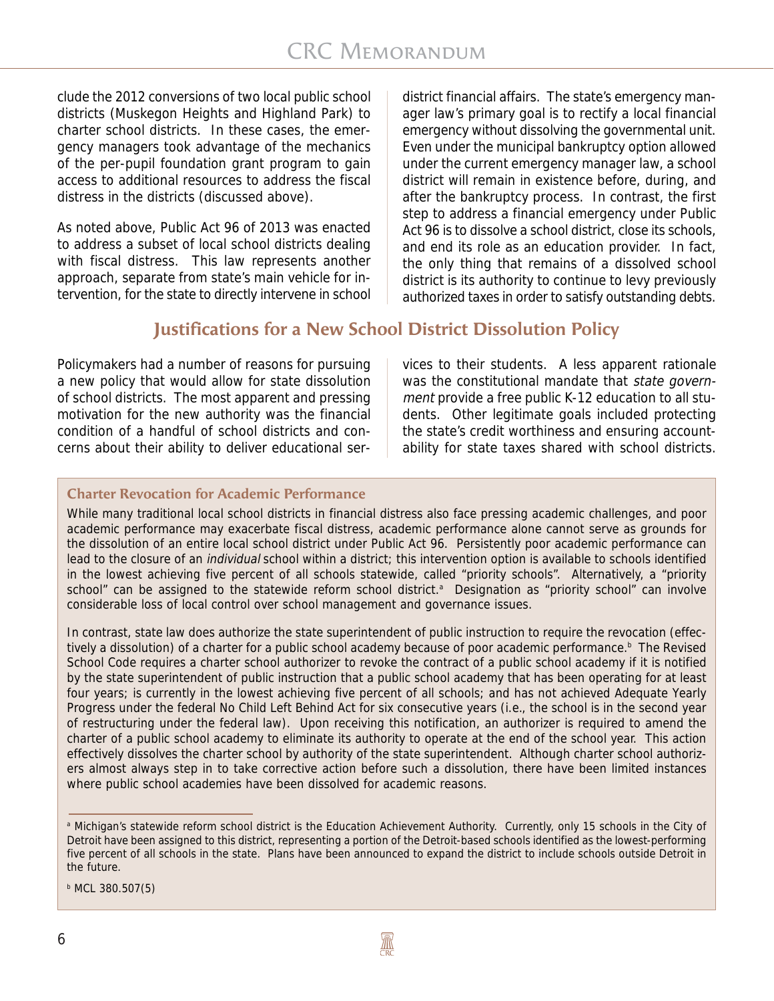clude the 2012 conversions of two local public school districts (Muskegon Heights and Highland Park) to charter school districts. In these cases, the emergency managers took advantage of the mechanics of the per-pupil foundation grant program to gain access to additional resources to address the fiscal distress in the districts (discussed above).

As noted above, Public Act 96 of 2013 was enacted to address a subset of local school districts dealing with fiscal distress. This law represents another approach, separate from state's main vehicle for intervention, for the state to directly intervene in school district financial affairs. The state's emergency manager law's primary goal is to rectify a local financial emergency without dissolving the governmental unit. Even under the municipal bankruptcy option allowed under the current emergency manager law, a school district will remain in existence before, during, and after the bankruptcy process. In contrast, the first step to address a financial emergency under Public Act 96 is to dissolve a school district, close its schools, and end its role as an education provider. In fact, the only thing that remains of a dissolved school district is its authority to continue to levy previously authorized taxes in order to satisfy outstanding debts.

# **Justifications for a New School District Dissolution Policy**

Policymakers had a number of reasons for pursuing a new policy that would allow for state dissolution of school districts. The most apparent and pressing motivation for the new authority was the financial condition of a handful of school districts and concerns about their ability to deliver educational services to their students. A less apparent rationale was the constitutional mandate that state government provide a free public K-12 education to all students. Other legitimate goals included protecting the state's credit worthiness and ensuring accountability for state taxes shared with school districts.

#### **Charter Revocation for Academic Performance**

While many traditional local school districts in financial distress also face pressing academic challenges, and poor academic performance may exacerbate fiscal distress, academic performance alone cannot serve as grounds for the dissolution of an entire local school district under Public Act 96. Persistently poor academic performance can lead to the closure of an *individual* school within a district; this intervention option is available to schools identified in the lowest achieving five percent of all schools statewide, called "priority schools". Alternatively, a "priority school" can be assigned to the statewide reform school district.<sup>a</sup> Designation as "priority school" can involve considerable loss of local control over school management and governance issues.

In contrast, state law does authorize the state superintendent of public instruction to require the revocation (effectively a dissolution) of a charter for a public school academy because of poor academic performance.<sup>b</sup> The Revised School Code requires a charter school authorizer to revoke the contract of a public school academy if it is notified by the state superintendent of public instruction that a public school academy that has been operating for at least four years; is currently in the lowest achieving five percent of all schools; and has not achieved Adequate Yearly Progress under the federal No Child Left Behind Act for six consecutive years (i.e., the school is in the second year of restructuring under the federal law). Upon receiving this notification, an authorizer is required to amend the charter of a public school academy to eliminate its authority to operate at the end of the school year. This action effectively dissolves the charter school by authority of the state superintendent. Although charter school authorizers almost always step in to take corrective action before such a dissolution, there have been limited instances where public school academies have been dissolved for academic reasons.

a Michigan's statewide reform school district is the Education Achievement Authority. Currently, only 15 schools in the City of Detroit have been assigned to this district, representing a portion of the Detroit-based schools identified as the lowest-performing five percent of all schools in the state. Plans have been announced to expand the district to include schools outside Detroit in the future.

b MCL 380.507(5)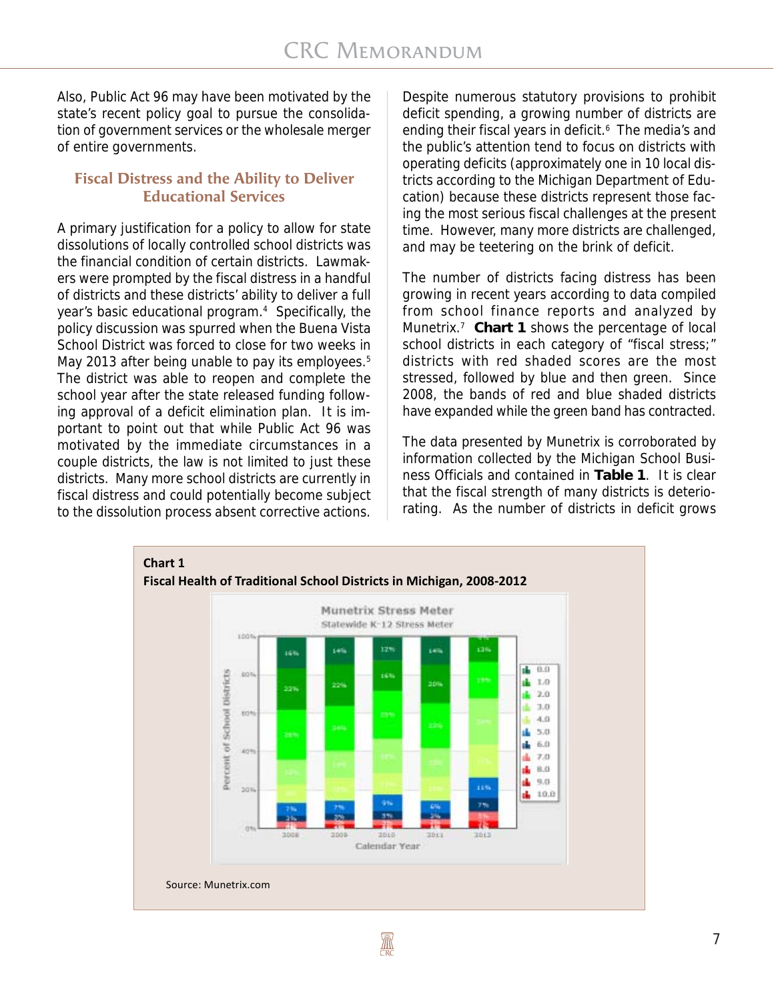Also, Public Act 96 may have been motivated by the state's recent policy goal to pursue the consolidation of government services or the wholesale merger of entire governments.

#### **Fiscal Distress and the Ability to Deliver Educational Services**

A primary justification for a policy to allow for state dissolutions of locally controlled school districts was the financial condition of certain districts. Lawmakers were prompted by the fiscal distress in a handful of districts and these districts' ability to deliver a full year's basic educational program.<sup>4</sup> Specifically, the policy discussion was spurred when the Buena Vista School District was forced to close for two weeks in May 2013 after being unable to pay its employees.<sup>5</sup> The district was able to reopen and complete the school year after the state released funding following approval of a deficit elimination plan. It is important to point out that while Public Act 96 was motivated by the immediate circumstances in a couple districts, the law is not limited to just these districts. Many more school districts are currently in fiscal distress and could potentially become subject to the dissolution process absent corrective actions.

Despite numerous statutory provisions to prohibit deficit spending, a growing number of districts are ending their fiscal years in deficit.<sup>6</sup> The media's and the public's attention tend to focus on districts with operating deficits (approximately one in 10 local districts according to the Michigan Department of Education) because these districts represent those facing the most serious fiscal challenges at the present time. However, many more districts are challenged, and may be teetering on the brink of deficit.

The number of districts facing distress has been growing in recent years according to data compiled from school finance reports and analyzed by Munetrix.7 **Chart 1** shows the percentage of local school districts in each category of "fiscal stress;" districts with red shaded scores are the most stressed, followed by blue and then green. Since 2008, the bands of red and blue shaded districts have expanded while the green band has contracted.

The data presented by Munetrix is corroborated by information collected by the Michigan School Business Officials and contained in **Table 1**. It is clear that the fiscal strength of many districts is deteriorating. As the number of districts in deficit grows

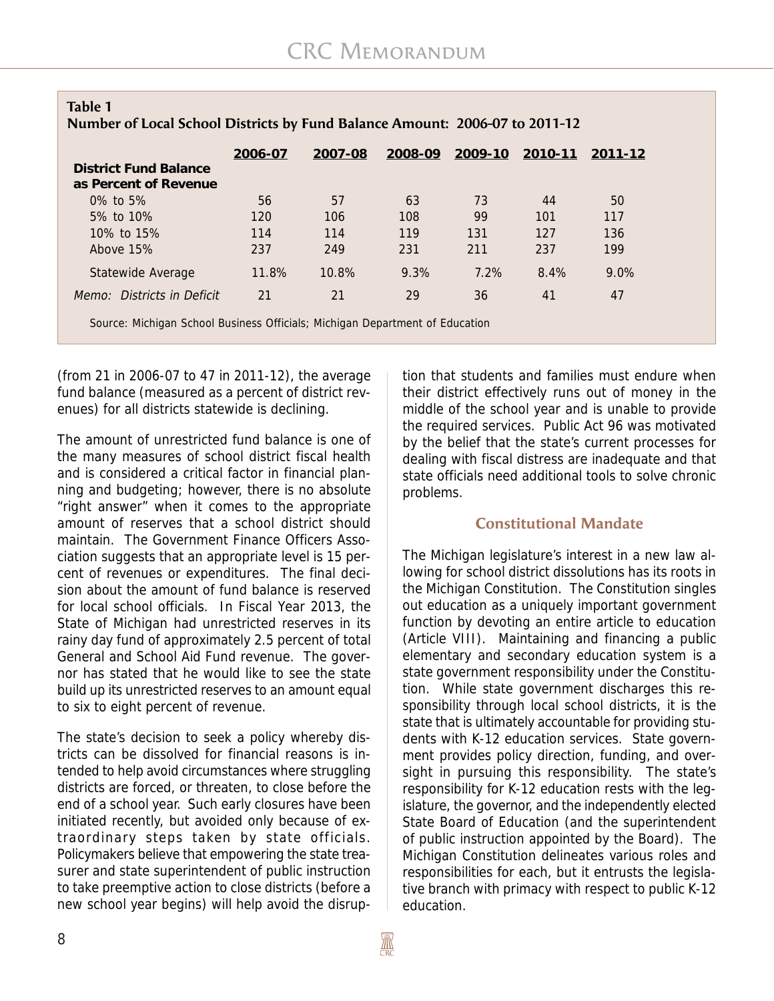| <b>Table 1</b><br>Number of Local School Districts by Fund Balance Amount: 2006-07 to 2011-12 |         |         |         |         |         |         |
|-----------------------------------------------------------------------------------------------|---------|---------|---------|---------|---------|---------|
| <b>District Fund Balance</b><br>as Percent of Revenue                                         | 2006-07 | 2007-08 | 2008-09 | 2009-10 | 2010-11 | 2011-12 |
| 0\% to 5\%                                                                                    | 56      | 57      | 63      | 73      | 44      | 50      |
| 5% to 10%                                                                                     | 120     | 106     | 108     | 99      | 101     | 117     |
| 10% to 15%                                                                                    | 114     | 114     | 119     | 131     | 127     | 136     |
| Above 15%                                                                                     | 237     | 249     | 231     | 211     | 237     | 199     |
| Statewide Average                                                                             | 11.8%   | 10.8%   | 9.3%    | 7.2%    | 8.4%    | $9.0\%$ |
| Memo: Districts in Deficit                                                                    | 21      | 21      | 29      | 36      | 41      | 47      |
| Source: Michigan School Business Officials; Michigan Department of Education                  |         |         |         |         |         |         |

(from 21 in 2006-07 to 47 in 2011-12), the average fund balance (measured as a percent of district revenues) for all districts statewide is declining.

The amount of unrestricted fund balance is one of the many measures of school district fiscal health and is considered a critical factor in financial planning and budgeting; however, there is no absolute "right answer" when it comes to the appropriate amount of reserves that a school district should maintain. The Government Finance Officers Association suggests that an appropriate level is 15 percent of revenues or expenditures. The final decision about the amount of fund balance is reserved for local school officials. In Fiscal Year 2013, the State of Michigan had unrestricted reserves in its rainy day fund of approximately 2.5 percent of total General and School Aid Fund revenue. The governor has stated that he would like to see the state build up its unrestricted reserves to an amount equal to six to eight percent of revenue.

The state's decision to seek a policy whereby districts can be dissolved for financial reasons is intended to help avoid circumstances where struggling districts are forced, or threaten, to close before the end of a school year. Such early closures have been initiated recently, but avoided only because of extraordinary steps taken by state officials. Policymakers believe that empowering the state treasurer and state superintendent of public instruction to take preemptive action to close districts (before a new school year begins) will help avoid the disruption that students and families must endure when their district effectively runs out of money in the middle of the school year and is unable to provide the required services. Public Act 96 was motivated by the belief that the state's current processes for dealing with fiscal distress are inadequate and that state officials need additional tools to solve chronic problems.

#### **Constitutional Mandate**

The Michigan legislature's interest in a new law allowing for school district dissolutions has its roots in the Michigan Constitution. The Constitution singles out education as a uniquely important government function by devoting an entire article to education (Article VIII). Maintaining and financing a public elementary and secondary education system is a state government responsibility under the Constitution. While state government discharges this responsibility through local school districts, it is the state that is ultimately accountable for providing students with K-12 education services. State government provides policy direction, funding, and oversight in pursuing this responsibility. The state's responsibility for K-12 education rests with the legislature, the governor, and the independently elected State Board of Education (and the superintendent of public instruction appointed by the Board). The Michigan Constitution delineates various roles and responsibilities for each, but it entrusts the legislative branch with primacy with respect to public K-12 education.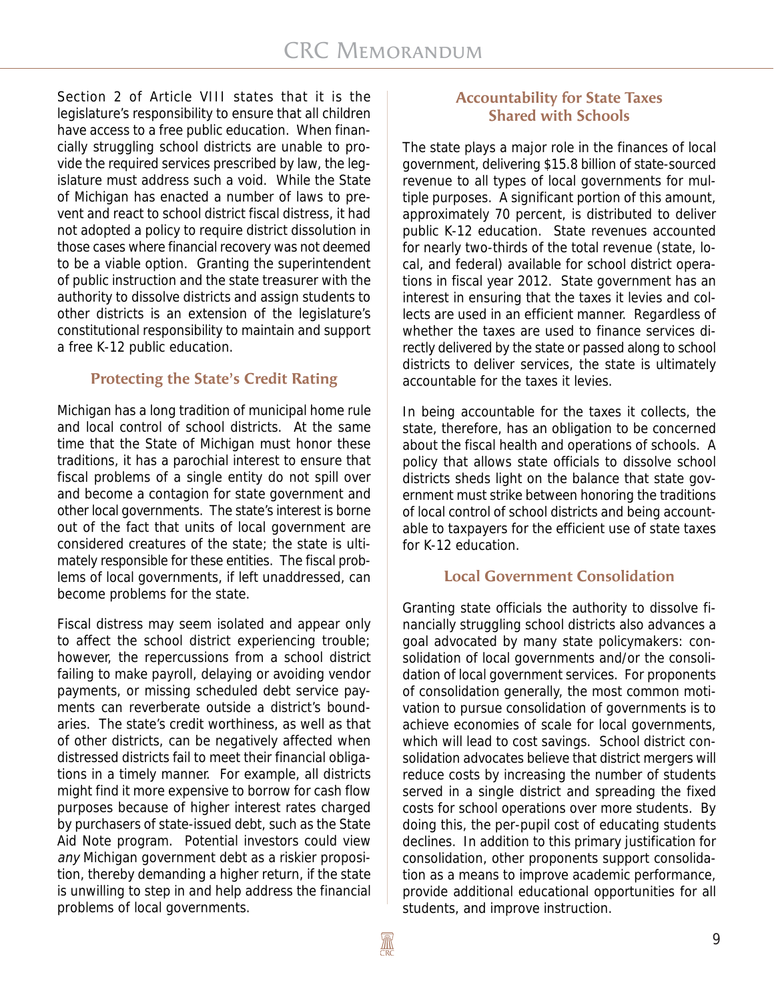Section 2 of Article VIII states that it is the legislature's responsibility to ensure that all children have access to a free public education. When financially struggling school districts are unable to provide the required services prescribed by law, the legislature must address such a void. While the State of Michigan has enacted a number of laws to prevent and react to school district fiscal distress, it had not adopted a policy to require district dissolution in those cases where financial recovery was not deemed to be a viable option. Granting the superintendent of public instruction and the state treasurer with the authority to dissolve districts and assign students to other districts is an extension of the legislature's constitutional responsibility to maintain and support a free K-12 public education.

#### **Protecting the State's Credit Rating**

Michigan has a long tradition of municipal home rule and local control of school districts. At the same time that the State of Michigan must honor these traditions, it has a parochial interest to ensure that fiscal problems of a single entity do not spill over and become a contagion for state government and other local governments. The state's interest is borne out of the fact that units of local government are considered creatures of the state; the state is ultimately responsible for these entities. The fiscal problems of local governments, if left unaddressed, can become problems for the state.

Fiscal distress may seem isolated and appear only to affect the school district experiencing trouble; however, the repercussions from a school district failing to make payroll, delaying or avoiding vendor payments, or missing scheduled debt service payments can reverberate outside a district's boundaries. The state's credit worthiness, as well as that of other districts, can be negatively affected when distressed districts fail to meet their financial obligations in a timely manner. For example, all districts might find it more expensive to borrow for cash flow purposes because of higher interest rates charged by purchasers of state-issued debt, such as the State Aid Note program. Potential investors could view any Michigan government debt as a riskier proposition, thereby demanding a higher return, if the state is unwilling to step in and help address the financial problems of local governments.

#### **Accountability for State Taxes Shared with Schools**

The state plays a major role in the finances of local government, delivering \$15.8 billion of state-sourced revenue to all types of local governments for multiple purposes. A significant portion of this amount, approximately 70 percent, is distributed to deliver public K-12 education. State revenues accounted for nearly two-thirds of the total revenue (state, local, and federal) available for school district operations in fiscal year 2012. State government has an interest in ensuring that the taxes it levies and collects are used in an efficient manner. Regardless of whether the taxes are used to finance services directly delivered by the state or passed along to school districts to deliver services, the state is ultimately accountable for the taxes it levies.

In being accountable for the taxes it collects, the state, therefore, has an obligation to be concerned about the fiscal health and operations of schools. A policy that allows state officials to dissolve school districts sheds light on the balance that state government must strike between honoring the traditions of local control of school districts and being accountable to taxpayers for the efficient use of state taxes for K-12 education.

#### **Local Government Consolidation**

Granting state officials the authority to dissolve financially struggling school districts also advances a goal advocated by many state policymakers: consolidation of local governments and/or the consolidation of local government services. For proponents of consolidation generally, the most common motivation to pursue consolidation of governments is to achieve economies of scale for local governments, which will lead to cost savings. School district consolidation advocates believe that district mergers will reduce costs by increasing the number of students served in a single district and spreading the fixed costs for school operations over more students. By doing this, the per-pupil cost of educating students declines. In addition to this primary justification for consolidation, other proponents support consolidation as a means to improve academic performance, provide additional educational opportunities for all students, and improve instruction.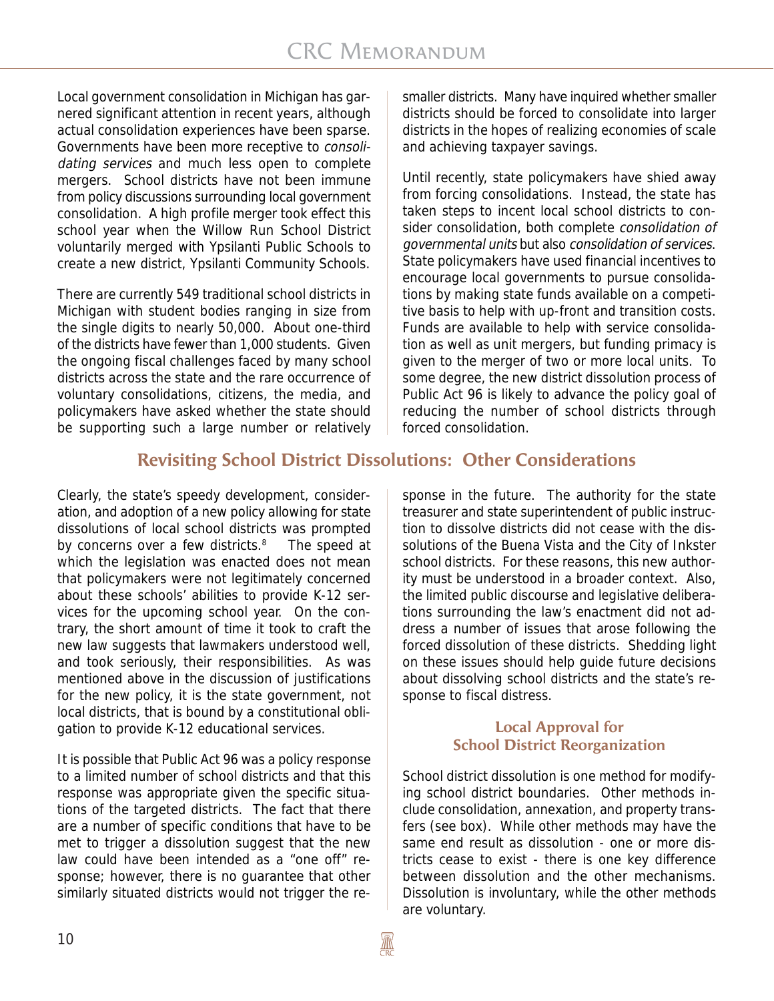Local government consolidation in Michigan has garnered significant attention in recent years, although actual consolidation experiences have been sparse. Governments have been more receptive to consolidating services and much less open to complete mergers. School districts have not been immune from policy discussions surrounding local government consolidation. A high profile merger took effect this school year when the Willow Run School District voluntarily merged with Ypsilanti Public Schools to create a new district, Ypsilanti Community Schools.

There are currently 549 traditional school districts in Michigan with student bodies ranging in size from the single digits to nearly 50,000. About one-third of the districts have fewer than 1,000 students. Given the ongoing fiscal challenges faced by many school districts across the state and the rare occurrence of voluntary consolidations, citizens, the media, and policymakers have asked whether the state should be supporting such a large number or relatively smaller districts. Many have inquired whether smaller districts should be forced to consolidate into larger districts in the hopes of realizing economies of scale and achieving taxpayer savings.

Until recently, state policymakers have shied away from forcing consolidations. Instead, the state has taken steps to incent local school districts to consider consolidation, both complete consolidation of governmental units but also consolidation of services. State policymakers have used financial incentives to encourage local governments to pursue consolidations by making state funds available on a competitive basis to help with up-front and transition costs. Funds are available to help with service consolidation as well as unit mergers, but funding primacy is given to the merger of two or more local units. To some degree, the new district dissolution process of Public Act 96 is likely to advance the policy goal of reducing the number of school districts through forced consolidation.

### **Revisiting School District Dissolutions: Other Considerations**

Clearly, the state's speedy development, consideration, and adoption of a new policy allowing for state dissolutions of local school districts was prompted by concerns over a few districts.<sup>8</sup> The speed at which the legislation was enacted does not mean that policymakers were not legitimately concerned about these schools' abilities to provide K-12 services for the upcoming school year. On the contrary, the short amount of time it took to craft the new law suggests that lawmakers understood well, and took seriously, their responsibilities. As was mentioned above in the discussion of justifications for the new policy, it is the state government, not local districts, that is bound by a constitutional obligation to provide K-12 educational services.

It is possible that Public Act 96 was a policy response to a limited number of school districts and that this response was appropriate given the specific situations of the targeted districts. The fact that there are a number of specific conditions that have to be met to trigger a dissolution suggest that the new law could have been intended as a "one off" response; however, there is no guarantee that other similarly situated districts would not trigger the response in the future. The authority for the state treasurer and state superintendent of public instruction to dissolve districts did not cease with the dissolutions of the Buena Vista and the City of Inkster school districts. For these reasons, this new authority must be understood in a broader context. Also, the limited public discourse and legislative deliberations surrounding the law's enactment did not address a number of issues that arose following the forced dissolution of these districts. Shedding light on these issues should help guide future decisions about dissolving school districts and the state's response to fiscal distress.

#### **Local Approval for School District Reorganization**

School district dissolution is one method for modifying school district boundaries. Other methods include consolidation, annexation, and property transfers (see box). While other methods may have the same end result as dissolution - one or more districts cease to exist - there is one key difference between dissolution and the other mechanisms. Dissolution is involuntary, while the other methods are voluntary.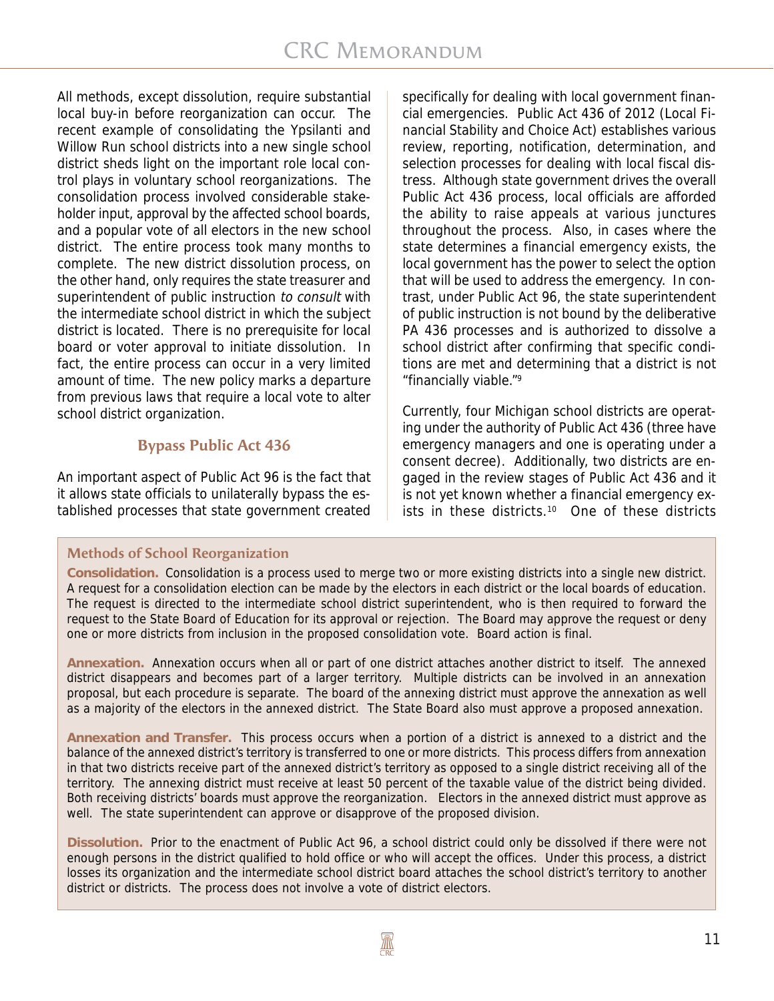All methods, except dissolution, require substantial local buy-in before reorganization can occur. The recent example of consolidating the Ypsilanti and Willow Run school districts into a new single school district sheds light on the important role local control plays in voluntary school reorganizations. The consolidation process involved considerable stakeholder input, approval by the affected school boards, and a popular vote of all electors in the new school district. The entire process took many months to complete. The new district dissolution process, on the other hand, only requires the state treasurer and superintendent of public instruction to consult with the intermediate school district in which the subject district is located. There is no prerequisite for local board or voter approval to initiate dissolution. In fact, the entire process can occur in a very limited amount of time. The new policy marks a departure from previous laws that require a local vote to alter school district organization.

#### **Bypass Public Act 436**

An important aspect of Public Act 96 is the fact that it allows state officials to unilaterally bypass the established processes that state government created

specifically for dealing with local government financial emergencies. Public Act 436 of 2012 (Local Financial Stability and Choice Act) establishes various review, reporting, notification, determination, and selection processes for dealing with local fiscal distress. Although state government drives the overall Public Act 436 process, local officials are afforded the ability to raise appeals at various junctures throughout the process. Also, in cases where the state determines a financial emergency exists, the local government has the power to select the option that will be used to address the emergency. In contrast, under Public Act 96, the state superintendent of public instruction is not bound by the deliberative PA 436 processes and is authorized to dissolve a school district after confirming that specific conditions are met and determining that a district is not "financially viable."9

Currently, four Michigan school districts are operating under the authority of Public Act 436 (three have emergency managers and one is operating under a consent decree). Additionally, two districts are engaged in the review stages of Public Act 436 and it is not yet known whether a financial emergency exists in these districts.<sup>10</sup> One of these districts

#### **Methods of School Reorganization**

**Consolidation.** Consolidation is a process used to merge two or more existing districts into a single new district. A request for a consolidation election can be made by the electors in each district or the local boards of education. The request is directed to the intermediate school district superintendent, who is then required to forward the request to the State Board of Education for its approval or rejection. The Board may approve the request or deny one or more districts from inclusion in the proposed consolidation vote. Board action is final.

**Annexation.** Annexation occurs when all or part of one district attaches another district to itself. The annexed district disappears and becomes part of a larger territory. Multiple districts can be involved in an annexation proposal, but each procedure is separate. The board of the annexing district must approve the annexation as well as a majority of the electors in the annexed district. The State Board also must approve a proposed annexation.

**Annexation and Transfer.** This process occurs when a portion of a district is annexed to a district and the balance of the annexed district's territory is transferred to one or more districts. This process differs from annexation in that two districts receive part of the annexed district's territory as opposed to a single district receiving all of the territory. The annexing district must receive at least 50 percent of the taxable value of the district being divided. Both receiving districts' boards must approve the reorganization. Electors in the annexed district must approve as well. The state superintendent can approve or disapprove of the proposed division.

**Dissolution.** Prior to the enactment of Public Act 96, a school district could only be dissolved if there were not enough persons in the district qualified to hold office or who will accept the offices. Under this process, a district losses its organization and the intermediate school district board attaches the school district's territory to another district or districts. The process does not involve a vote of district electors.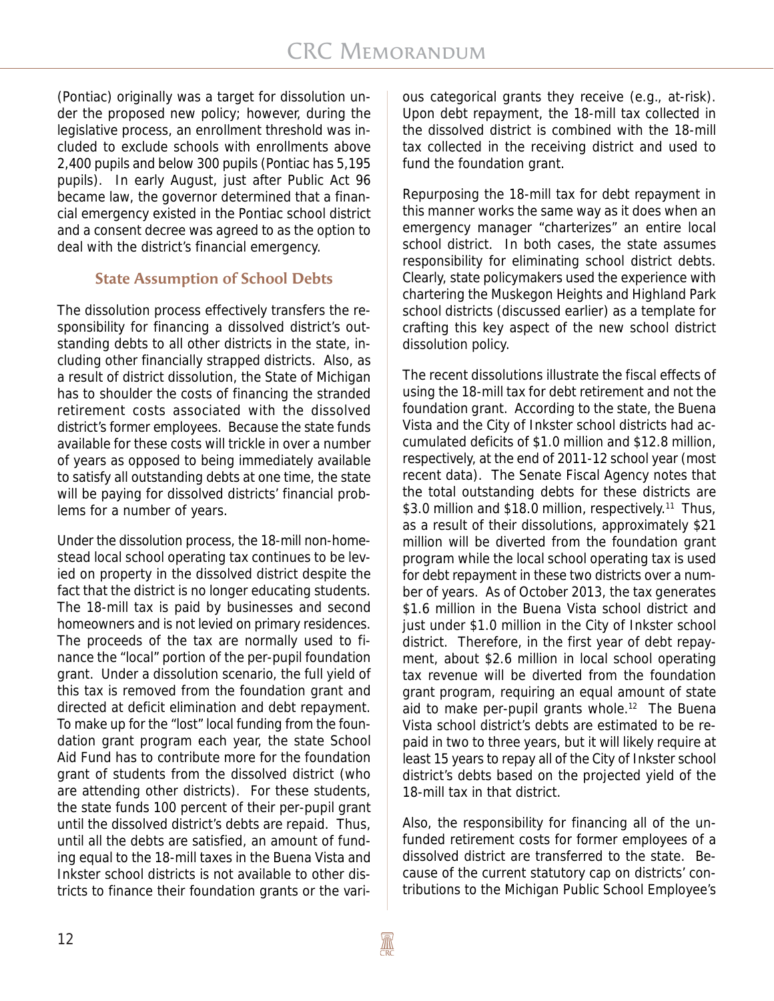(Pontiac) originally was a target for dissolution under the proposed new policy; however, during the legislative process, an enrollment threshold was included to exclude schools with enrollments above 2,400 pupils and below 300 pupils (Pontiac has 5,195 pupils). In early August, just after Public Act 96 became law, the governor determined that a financial emergency existed in the Pontiac school district and a consent decree was agreed to as the option to deal with the district's financial emergency.

#### **State Assumption of School Debts**

The dissolution process effectively transfers the responsibility for financing a dissolved district's outstanding debts to all other districts in the state, including other financially strapped districts. Also, as a result of district dissolution, the State of Michigan has to shoulder the costs of financing the stranded retirement costs associated with the dissolved district's former employees. Because the state funds available for these costs will trickle in over a number of years as opposed to being immediately available to satisfy all outstanding debts at one time, the state will be paying for dissolved districts' financial problems for a number of years.

Under the dissolution process, the 18-mill non-homestead local school operating tax continues to be levied on property in the dissolved district despite the fact that the district is no longer educating students. The 18-mill tax is paid by businesses and second homeowners and is not levied on primary residences. The proceeds of the tax are normally used to finance the "local" portion of the per-pupil foundation grant. Under a dissolution scenario, the full yield of this tax is removed from the foundation grant and directed at deficit elimination and debt repayment. To make up for the "lost" local funding from the foundation grant program each year, the state School Aid Fund has to contribute more for the foundation grant of students from the dissolved district (who are attending other districts). For these students, the state funds 100 percent of their per-pupil grant until the dissolved district's debts are repaid. Thus, until all the debts are satisfied, an amount of funding equal to the 18-mill taxes in the Buena Vista and Inkster school districts is not available to other districts to finance their foundation grants or the various categorical grants they receive (e.g., at-risk). Upon debt repayment, the 18-mill tax collected in the dissolved district is combined with the 18-mill tax collected in the receiving district and used to fund the foundation grant.

Repurposing the 18-mill tax for debt repayment in this manner works the same way as it does when an emergency manager "charterizes" an entire local school district. In both cases, the state assumes responsibility for eliminating school district debts. Clearly, state policymakers used the experience with chartering the Muskegon Heights and Highland Park school districts (discussed earlier) as a template for crafting this key aspect of the new school district dissolution policy.

The recent dissolutions illustrate the fiscal effects of using the 18-mill tax for debt retirement and not the foundation grant. According to the state, the Buena Vista and the City of Inkster school districts had accumulated deficits of \$1.0 million and \$12.8 million, respectively, at the end of 2011-12 school year (most recent data). The Senate Fiscal Agency notes that the total outstanding debts for these districts are \$3.0 million and \$18.0 million, respectively.<sup>11</sup> Thus, as a result of their dissolutions, approximately \$21 million will be diverted from the foundation grant program while the local school operating tax is used for debt repayment in these two districts over a number of years. As of October 2013, the tax generates \$1.6 million in the Buena Vista school district and just under \$1.0 million in the City of Inkster school district. Therefore, in the first year of debt repayment, about \$2.6 million in local school operating tax revenue will be diverted from the foundation grant program, requiring an equal amount of state aid to make per-pupil grants whole.<sup>12</sup> The Buena Vista school district's debts are estimated to be repaid in two to three years, but it will likely require at least 15 years to repay all of the City of Inkster school district's debts based on the projected yield of the 18-mill tax in that district.

Also, the responsibility for financing all of the unfunded retirement costs for former employees of a dissolved district are transferred to the state. Because of the current statutory cap on districts' contributions to the Michigan Public School Employee's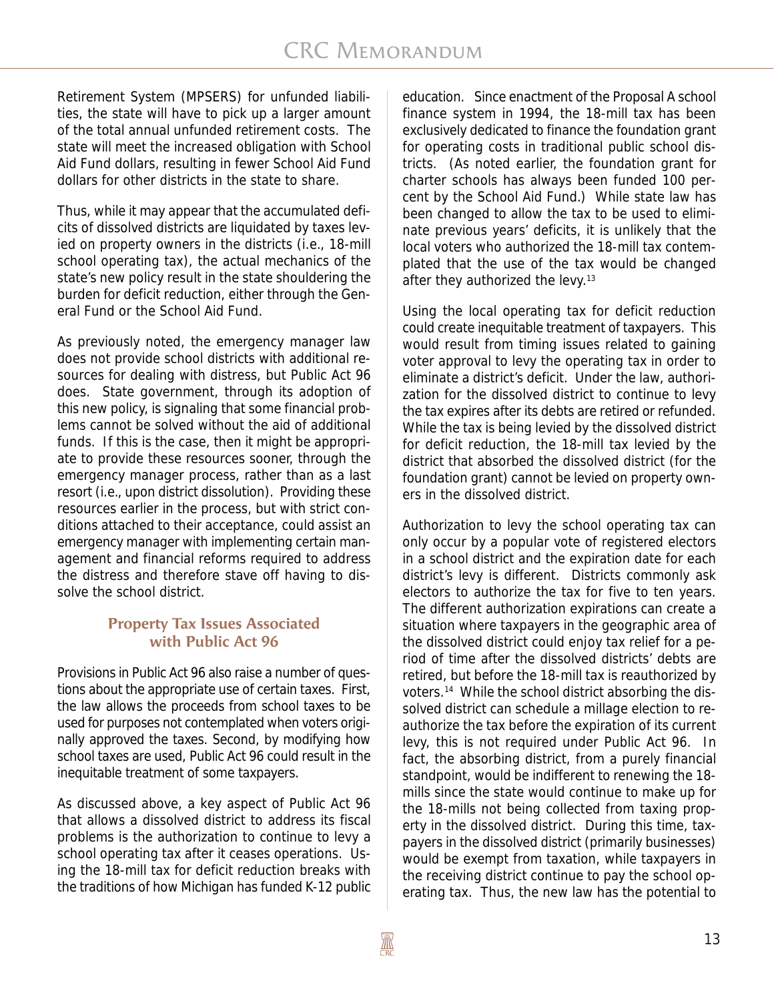Retirement System (MPSERS) for unfunded liabilities, the state will have to pick up a larger amount of the total annual unfunded retirement costs. The state will meet the increased obligation with School Aid Fund dollars, resulting in fewer School Aid Fund dollars for other districts in the state to share.

Thus, while it may appear that the accumulated deficits of dissolved districts are liquidated by taxes levied on property owners in the districts (i.e., 18-mill school operating tax), the actual mechanics of the state's new policy result in the state shouldering the burden for deficit reduction, either through the General Fund or the School Aid Fund.

As previously noted, the emergency manager law does not provide school districts with additional resources for dealing with distress, but Public Act 96 does. State government, through its adoption of this new policy, is signaling that some financial problems cannot be solved without the aid of additional funds. If this is the case, then it might be appropriate to provide these resources sooner, through the emergency manager process, rather than as a last resort (i.e., upon district dissolution). Providing these resources earlier in the process, but with strict conditions attached to their acceptance, could assist an emergency manager with implementing certain management and financial reforms required to address the distress and therefore stave off having to dissolve the school district.

#### **Property Tax Issues Associated with Public Act 96**

Provisions in Public Act 96 also raise a number of questions about the appropriate use of certain taxes. First, the law allows the proceeds from school taxes to be used for purposes not contemplated when voters originally approved the taxes. Second, by modifying how school taxes are used, Public Act 96 could result in the inequitable treatment of some taxpayers.

As discussed above, a key aspect of Public Act 96 that allows a dissolved district to address its fiscal problems is the authorization to continue to levy a school operating tax after it ceases operations. Using the 18-mill tax for deficit reduction breaks with the traditions of how Michigan has funded K-12 public

education. Since enactment of the Proposal A school finance system in 1994, the 18-mill tax has been exclusively dedicated to finance the foundation grant for operating costs in traditional public school districts. (As noted earlier, the foundation grant for charter schools has always been funded 100 percent by the School Aid Fund.) While state law has been changed to allow the tax to be used to eliminate previous years' deficits, it is unlikely that the local voters who authorized the 18-mill tax contemplated that the use of the tax would be changed after they authorized the levy.<sup>13</sup>

Using the local operating tax for deficit reduction could create inequitable treatment of taxpayers. This would result from timing issues related to gaining voter approval to levy the operating tax in order to eliminate a district's deficit. Under the law, authorization for the dissolved district to continue to levy the tax expires after its debts are retired or refunded. While the tax is being levied by the dissolved district for deficit reduction, the 18-mill tax levied by the district that absorbed the dissolved district (for the foundation grant) cannot be levied on property owners in the dissolved district.

Authorization to levy the school operating tax can only occur by a popular vote of registered electors in a school district and the expiration date for each district's levy is different. Districts commonly ask electors to authorize the tax for five to ten years. The different authorization expirations can create a situation where taxpayers in the geographic area of the dissolved district could enjoy tax relief for a period of time after the dissolved districts' debts are retired, but before the 18-mill tax is reauthorized by voters.14 While the school district absorbing the dissolved district can schedule a millage election to reauthorize the tax before the expiration of its current levy, this is not required under Public Act 96. In fact, the absorbing district, from a purely financial standpoint, would be indifferent to renewing the 18 mills since the state would continue to make up for the 18-mills not being collected from taxing property in the dissolved district. During this time, taxpayers in the dissolved district (primarily businesses) would be exempt from taxation, while taxpayers in the receiving district continue to pay the school operating tax. Thus, the new law has the potential to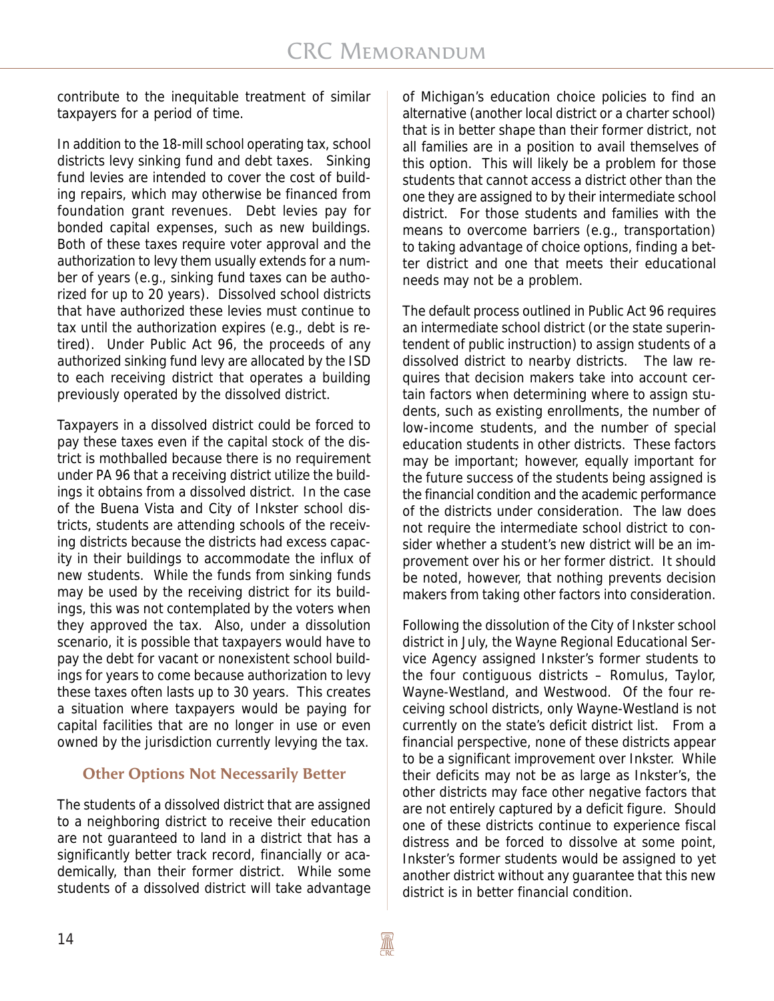contribute to the inequitable treatment of similar taxpayers for a period of time.

In addition to the 18-mill school operating tax, school districts levy sinking fund and debt taxes. Sinking fund levies are intended to cover the cost of building repairs, which may otherwise be financed from foundation grant revenues. Debt levies pay for bonded capital expenses, such as new buildings. Both of these taxes require voter approval and the authorization to levy them usually extends for a number of years (e.g., sinking fund taxes can be authorized for up to 20 years). Dissolved school districts that have authorized these levies must continue to tax until the authorization expires (e.g., debt is retired). Under Public Act 96, the proceeds of any authorized sinking fund levy are allocated by the ISD to each receiving district that operates a building previously operated by the dissolved district.

Taxpayers in a dissolved district could be forced to pay these taxes even if the capital stock of the district is mothballed because there is no requirement under PA 96 that a receiving district utilize the buildings it obtains from a dissolved district. In the case of the Buena Vista and City of Inkster school districts, students are attending schools of the receiving districts because the districts had excess capacity in their buildings to accommodate the influx of new students. While the funds from sinking funds may be used by the receiving district for its buildings, this was not contemplated by the voters when they approved the tax. Also, under a dissolution scenario, it is possible that taxpayers would have to pay the debt for vacant or nonexistent school buildings for years to come because authorization to levy these taxes often lasts up to 30 years. This creates a situation where taxpayers would be paying for capital facilities that are no longer in use or even owned by the jurisdiction currently levying the tax.

#### **Other Options Not Necessarily Better**

The students of a dissolved district that are assigned to a neighboring district to receive their education are not guaranteed to land in a district that has a significantly better track record, financially or academically, than their former district. While some students of a dissolved district will take advantage of Michigan's education choice policies to find an alternative (another local district or a charter school) that is in better shape than their former district, not all families are in a position to avail themselves of this option. This will likely be a problem for those students that cannot access a district other than the one they are assigned to by their intermediate school district. For those students and families with the means to overcome barriers (e.g., transportation) to taking advantage of choice options, finding a better district and one that meets their educational needs may not be a problem.

The default process outlined in Public Act 96 requires an intermediate school district (or the state superintendent of public instruction) to assign students of a dissolved district to nearby districts. The law requires that decision makers take into account certain factors when determining where to assign students, such as existing enrollments, the number of low-income students, and the number of special education students in other districts. These factors may be important; however, equally important for the future success of the students being assigned is the financial condition and the academic performance of the districts under consideration. The law does not require the intermediate school district to consider whether a student's new district will be an improvement over his or her former district. It should be noted, however, that nothing prevents decision makers from taking other factors into consideration.

Following the dissolution of the City of Inkster school district in July, the Wayne Regional Educational Service Agency assigned Inkster's former students to the four contiguous districts – Romulus, Taylor, Wayne-Westland, and Westwood. Of the four receiving school districts, only Wayne-Westland is not currently on the state's deficit district list. From a financial perspective, none of these districts appear to be a significant improvement over Inkster. While their deficits may not be as large as Inkster's, the other districts may face other negative factors that are not entirely captured by a deficit figure. Should one of these districts continue to experience fiscal distress and be forced to dissolve at some point, Inkster's former students would be assigned to yet another district without any guarantee that this new district is in better financial condition.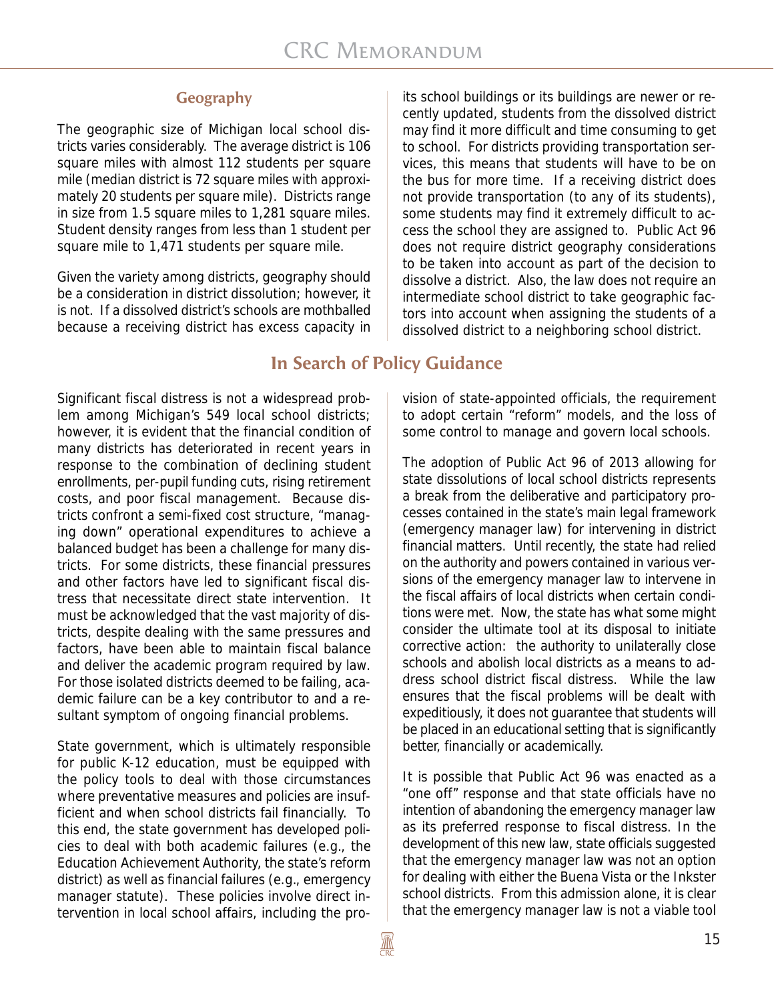#### **Geography**

The geographic size of Michigan local school districts varies considerably. The average district is 106 square miles with almost 112 students per square mile (median district is 72 square miles with approximately 20 students per square mile). Districts range in size from 1.5 square miles to 1,281 square miles. Student density ranges from less than 1 student per square mile to 1,471 students per square mile.

Given the variety among districts, geography should be a consideration in district dissolution; however, it is not. If a dissolved district's schools are mothballed because a receiving district has excess capacity in

Significant fiscal distress is not a widespread problem among Michigan's 549 local school districts; however, it is evident that the financial condition of many districts has deteriorated in recent years in response to the combination of declining student enrollments, per-pupil funding cuts, rising retirement costs, and poor fiscal management. Because districts confront a semi-fixed cost structure, "managing down" operational expenditures to achieve a balanced budget has been a challenge for many districts. For some districts, these financial pressures and other factors have led to significant fiscal distress that necessitate direct state intervention. It must be acknowledged that the vast majority of districts, despite dealing with the same pressures and factors, have been able to maintain fiscal balance and deliver the academic program required by law. For those isolated districts deemed to be failing, academic failure can be a key contributor to and a resultant symptom of ongoing financial problems.

State government, which is ultimately responsible for public K-12 education, must be equipped with the policy tools to deal with those circumstances where preventative measures and policies are insufficient and when school districts fail financially. To this end, the state government has developed policies to deal with both academic failures (e.g., the Education Achievement Authority, the state's reform district) as well as financial failures (e.g., emergency manager statute). These policies involve direct intervention in local school affairs, including the proits school buildings or its buildings are newer or recently updated, students from the dissolved district may find it more difficult and time consuming to get to school. For districts providing transportation services, this means that students will have to be on the bus for more time. If a receiving district does not provide transportation (to any of its students), some students may find it extremely difficult to access the school they are assigned to. Public Act 96 does not require district geography considerations to be taken into account as part of the decision to dissolve a district. Also, the law does not require an intermediate school district to take geographic factors into account when assigning the students of a dissolved district to a neighboring school district.

# **In Search of Policy Guidance**

vision of state-appointed officials, the requirement to adopt certain "reform" models, and the loss of some control to manage and govern local schools.

The adoption of Public Act 96 of 2013 allowing for state dissolutions of local school districts represents a break from the deliberative and participatory processes contained in the state's main legal framework (emergency manager law) for intervening in district financial matters. Until recently, the state had relied on the authority and powers contained in various versions of the emergency manager law to intervene in the fiscal affairs of local districts when certain conditions were met. Now, the state has what some might consider the ultimate tool at its disposal to initiate corrective action: the authority to unilaterally close schools and abolish local districts as a means to address school district fiscal distress. While the law ensures that the fiscal problems will be dealt with expeditiously, it does not guarantee that students will be placed in an educational setting that is significantly better, financially or academically.

It is possible that Public Act 96 was enacted as a "one off" response and that state officials have no intention of abandoning the emergency manager law as its preferred response to fiscal distress. In the development of this new law, state officials suggested that the emergency manager law was not an option for dealing with either the Buena Vista or the Inkster school districts. From this admission alone, it is clear that the emergency manager law is not a viable tool